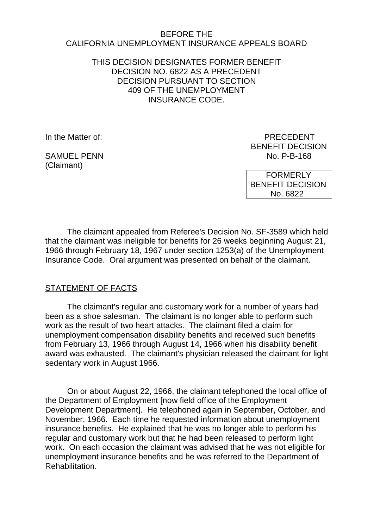### BEFORE THE CALIFORNIA UNEMPLOYMENT INSURANCE APPEALS BOARD

THIS DECISION DESIGNATES FORMER BENEFIT DECISION NO. 6822 AS A PRECEDENT DECISION PURSUANT TO SECTION 409 OF THE UNEMPLOYMENT INSURANCE CODE.

(Claimant)

In the Matter of: PRECEDENT BENEFIT DECISION SAMUEL PENN NO. P-B-168

> FORMERLY BENEFIT DECISION No. 6822

The claimant appealed from Referee's Decision No. SF-3589 which held that the claimant was ineligible for benefits for 26 weeks beginning August 21, 1966 through February 18, 1967 under section 1253(a) of the Unemployment Insurance Code. Oral argument was presented on behalf of the claimant.

## STATEMENT OF FACTS

The claimant's regular and customary work for a number of years had been as a shoe salesman. The claimant is no longer able to perform such work as the result of two heart attacks. The claimant filed a claim for unemployment compensation disability benefits and received such benefits from February 13, 1966 through August 14, 1966 when his disability benefit award was exhausted. The claimant's physician released the claimant for light sedentary work in August 1966.

On or about August 22, 1966, the claimant telephoned the local office of the Department of Employment [now field office of the Employment Development Department]. He telephoned again in September, October, and November, 1966. Each time he requested information about unemployment insurance benefits. He explained that he was no longer able to perform his regular and customary work but that he had been released to perform light work. On each occasion the claimant was advised that he was not eligible for unemployment insurance benefits and he was referred to the Department of Rehabilitation.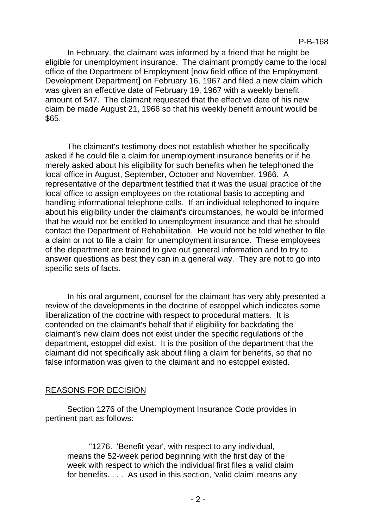In February, the claimant was informed by a friend that he might be eligible for unemployment insurance. The claimant promptly came to the local office of the Department of Employment [now field office of the Employment Development Department] on February 16, 1967 and filed a new claim which was given an effective date of February 19, 1967 with a weekly benefit amount of \$47. The claimant requested that the effective date of his new claim be made August 21, 1966 so that his weekly benefit amount would be \$65.

The claimant's testimony does not establish whether he specifically asked if he could file a claim for unemployment insurance benefits or if he merely asked about his eligibility for such benefits when he telephoned the local office in August, September, October and November, 1966. A representative of the department testified that it was the usual practice of the local office to assign employees on the rotational basis to accepting and handling informational telephone calls. If an individual telephoned to inquire about his eligibility under the claimant's circumstances, he would be informed that he would not be entitled to unemployment insurance and that he should contact the Department of Rehabilitation. He would not be told whether to file a claim or not to file a claim for unemployment insurance. These employees of the department are trained to give out general information and to try to answer questions as best they can in a general way. They are not to go into specific sets of facts.

In his oral argument, counsel for the claimant has very ably presented a review of the developments in the doctrine of estoppel which indicates some liberalization of the doctrine with respect to procedural matters. It is contended on the claimant's behalf that if eligibility for backdating the claimant's new claim does not exist under the specific regulations of the department, estoppel did exist. It is the position of the department that the claimant did not specifically ask about filing a claim for benefits, so that no false information was given to the claimant and no estoppel existed.

## REASONS FOR DECISION

Section 1276 of the Unemployment Insurance Code provides in pertinent part as follows:

"1276. 'Benefit year', with respect to any individual, means the 52-week period beginning with the first day of the week with respect to which the individual first files a valid claim for benefits. . . . As used in this section, 'valid claim' means any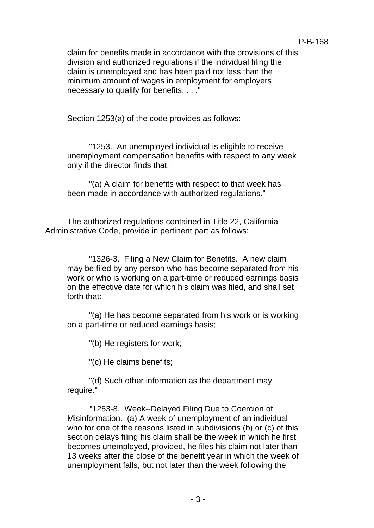claim for benefits made in accordance with the provisions of this division and authorized regulations if the individual filing the claim is unemployed and has been paid not less than the minimum amount of wages in employment for employers necessary to qualify for benefits. . . ."

Section 1253(a) of the code provides as follows:

"1253. An unemployed individual is eligible to receive unemployment compensation benefits with respect to any week only if the director finds that:

"(a) A claim for benefits with respect to that week has been made in accordance with authorized regulations."

The authorized regulations contained in Title 22, California Administrative Code, provide in pertinent part as follows:

"1326-3. Filing a New Claim for Benefits. A new claim may be filed by any person who has become separated from his work or who is working on a part-time or reduced earnings basis on the effective date for which his claim was filed, and shall set forth that:

"(a) He has become separated from his work or is working on a part-time or reduced earnings basis;

"(b) He registers for work;

"(c) He claims benefits;

"(d) Such other information as the department may require."

"1253-8. Week--Delayed Filing Due to Coercion of Misinformation. (a) A week of unemployment of an individual who for one of the reasons listed in subdivisions (b) or (c) of this section delays filing his claim shall be the week in which he first becomes unemployed, provided, he files his claim not later than 13 weeks after the close of the benefit year in which the week of unemployment falls, but not later than the week following the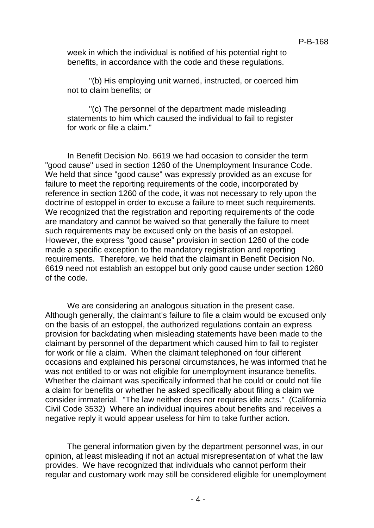week in which the individual is notified of his potential right to benefits, in accordance with the code and these regulations.

"(b) His employing unit warned, instructed, or coerced him not to claim benefits; or

"(c) The personnel of the department made misleading statements to him which caused the individual to fail to register for work or file a claim."

In Benefit Decision No. 6619 we had occasion to consider the term "good cause" used in section 1260 of the Unemployment Insurance Code. We held that since "good cause" was expressly provided as an excuse for failure to meet the reporting requirements of the code, incorporated by reference in section 1260 of the code, it was not necessary to rely upon the doctrine of estoppel in order to excuse a failure to meet such requirements. We recognized that the registration and reporting requirements of the code are mandatory and cannot be waived so that generally the failure to meet such requirements may be excused only on the basis of an estoppel. However, the express "good cause" provision in section 1260 of the code made a specific exception to the mandatory registration and reporting requirements. Therefore, we held that the claimant in Benefit Decision No. 6619 need not establish an estoppel but only good cause under section 1260 of the code.

We are considering an analogous situation in the present case. Although generally, the claimant's failure to file a claim would be excused only on the basis of an estoppel, the authorized regulations contain an express provision for backdating when misleading statements have been made to the claimant by personnel of the department which caused him to fail to register for work or file a claim. When the claimant telephoned on four different occasions and explained his personal circumstances, he was informed that he was not entitled to or was not eligible for unemployment insurance benefits. Whether the claimant was specifically informed that he could or could not file a claim for benefits or whether he asked specifically about filing a claim we consider immaterial. "The law neither does nor requires idle acts." (California Civil Code 3532) Where an individual inquires about benefits and receives a negative reply it would appear useless for him to take further action.

The general information given by the department personnel was, in our opinion, at least misleading if not an actual misrepresentation of what the law provides. We have recognized that individuals who cannot perform their regular and customary work may still be considered eligible for unemployment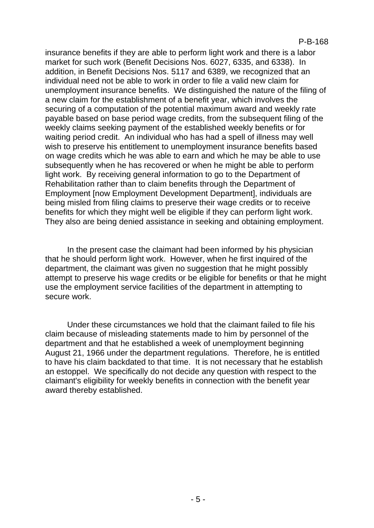insurance benefits if they are able to perform light work and there is a labor market for such work (Benefit Decisions Nos. 6027, 6335, and 6338). In addition, in Benefit Decisions Nos. 5117 and 6389, we recognized that an individual need not be able to work in order to file a valid new claim for unemployment insurance benefits. We distinguished the nature of the filing of a new claim for the establishment of a benefit year, which involves the securing of a computation of the potential maximum award and weekly rate payable based on base period wage credits, from the subsequent filing of the weekly claims seeking payment of the established weekly benefits or for waiting period credit. An individual who has had a spell of illness may well wish to preserve his entitlement to unemployment insurance benefits based on wage credits which he was able to earn and which he may be able to use subsequently when he has recovered or when he might be able to perform light work. By receiving general information to go to the Department of Rehabilitation rather than to claim benefits through the Department of Employment [now Employment Development Department], individuals are being misled from filing claims to preserve their wage credits or to receive benefits for which they might well be eligible if they can perform light work. They also are being denied assistance in seeking and obtaining employment.

In the present case the claimant had been informed by his physician that he should perform light work. However, when he first inquired of the department, the claimant was given no suggestion that he might possibly attempt to preserve his wage credits or be eligible for benefits or that he might use the employment service facilities of the department in attempting to secure work.

Under these circumstances we hold that the claimant failed to file his claim because of misleading statements made to him by personnel of the department and that he established a week of unemployment beginning August 21, 1966 under the department regulations. Therefore, he is entitled to have his claim backdated to that time. It is not necessary that he establish an estoppel. We specifically do not decide any question with respect to the claimant's eligibility for weekly benefits in connection with the benefit year award thereby established.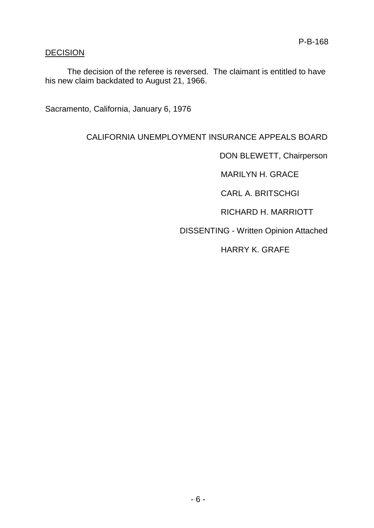## **DECISION**

The decision of the referee is reversed. The claimant is entitled to have his new claim backdated to August 21, 1966.

Sacramento, California, January 6, 1976

# CALIFORNIA UNEMPLOYMENT INSURANCE APPEALS BOARD

DON BLEWETT, Chairperson

MARILYN H. GRACE

CARL A. BRITSCHGI

RICHARD H. MARRIOTT

DISSENTING - Written Opinion Attached

HARRY K. GRAFE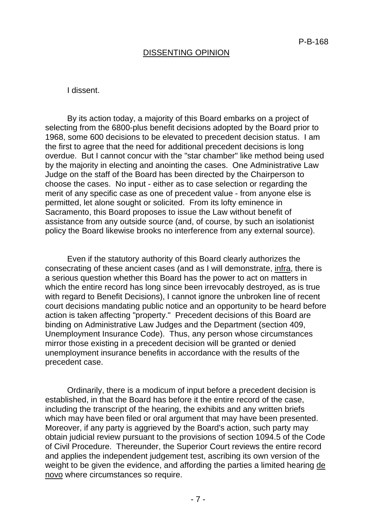### DISSENTING OPINION

#### I dissent.

By its action today, a majority of this Board embarks on a project of selecting from the 6800-plus benefit decisions adopted by the Board prior to 1968, some 600 decisions to be elevated to precedent decision status. I am the first to agree that the need for additional precedent decisions is long overdue. But I cannot concur with the "star chamber" like method being used by the majority in electing and anointing the cases. One Administrative Law Judge on the staff of the Board has been directed by the Chairperson to choose the cases. No input - either as to case selection or regarding the merit of any specific case as one of precedent value - from anyone else is permitted, let alone sought or solicited. From its lofty eminence in Sacramento, this Board proposes to issue the Law without benefit of assistance from any outside source (and, of course, by such an isolationist policy the Board likewise brooks no interference from any external source).

Even if the statutory authority of this Board clearly authorizes the consecrating of these ancient cases (and as I will demonstrate, infra, there is a serious question whether this Board has the power to act on matters in which the entire record has long since been irrevocably destroyed, as is true with regard to Benefit Decisions), I cannot ignore the unbroken line of recent court decisions mandating public notice and an opportunity to be heard before action is taken affecting "property." Precedent decisions of this Board are binding on Administrative Law Judges and the Department (section 409, Unemployment Insurance Code). Thus, any person whose circumstances mirror those existing in a precedent decision will be granted or denied unemployment insurance benefits in accordance with the results of the precedent case.

Ordinarily, there is a modicum of input before a precedent decision is established, in that the Board has before it the entire record of the case, including the transcript of the hearing, the exhibits and any written briefs which may have been filed or oral argument that may have been presented. Moreover, if any party is aggrieved by the Board's action, such party may obtain judicial review pursuant to the provisions of section 1094.5 of the Code of Civil Procedure. Thereunder, the Superior Court reviews the entire record and applies the independent judgement test, ascribing its own version of the weight to be given the evidence, and affording the parties a limited hearing de novo where circumstances so require.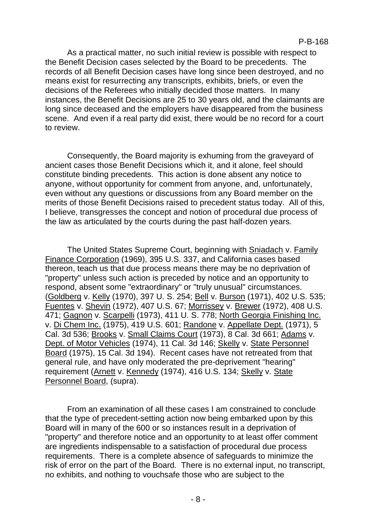As a practical matter, no such initial review is possible with respect to the Benefit Decision cases selected by the Board to be precedents. The records of all Benefit Decision cases have long since been destroyed, and no means exist for resurrecting any transcripts, exhibits, briefs, or even the decisions of the Referees who initially decided those matters. In many instances, the Benefit Decisions are 25 to 30 years old, and the claimants are long since deceased and the employers have disappeared from the business scene. And even if a real party did exist, there would be no record for a court to review.

Consequently, the Board majority is exhuming from the graveyard of ancient cases those Benefit Decisions which it, and it alone, feel should constitute binding precedents. This action is done absent any notice to anyone, without opportunity for comment from anyone, and, unfortunately, even without any questions or discussions from any Board member on the merits of those Benefit Decisions raised to precedent status today. All of this, I believe, transgresses the concept and notion of procedural due process of the law as articulated by the courts during the past half-dozen years.

The United States Supreme Court, beginning with Sniadach v. Family Finance Corporation (1969), 395 U.S. 337, and California cases based thereon, teach us that due process means there may be no deprivation of "property" unless such action is preceded by notice and an opportunity to respond, absent some "extraordinary" or "truly unusual" circumstances. (Goldberg v. Kelly (1970), 397 U. S. 254; Bell v. Burson (1971), 402 U.S. 535; Fuentes v. Shevin (1972), 407 U.S. 67; Morrissey v. Brewer (1972), 408 U.S. 471; Gagnon v. Scarpelli (1973), 411 U. S. 778; North Georgia Finishing Inc. v. Di Chem Inc. (1975), 419 U.S. 601; Randone v. Appellate Dept. (1971), 5 Cal. 3d 536; Brooks v. Small Claims Court (1973), 8 Cal. 3d 661; Adams v. Dept. of Motor Vehicles (1974), 11 Cal. 3d 146; Skelly v. State Personnel Board (1975), 15 Cal. 3d 194). Recent cases have not retreated from that general rule, and have only moderated the pre-deprivement "hearing" requirement (Arnett v. Kennedy (1974), 416 U.S. 134; Skelly v. State Personnel Board, (supra).

From an examination of all these cases I am constrained to conclude that the type of precedent-setting action now being embarked upon by this Board will in many of the 600 or so instances result in a deprivation of "property" and therefore notice and an opportunity to at least offer comment are ingredients indispensable to a satisfaction of procedural due process requirements. There is a complete absence of safeguards to minimize the risk of error on the part of the Board. There is no external input, no transcript, no exhibits, and nothing to vouchsafe those who are subject to the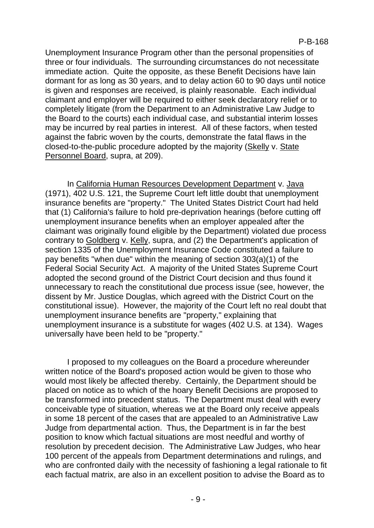Unemployment Insurance Program other than the personal propensities of three or four individuals. The surrounding circumstances do not necessitate immediate action. Quite the opposite, as these Benefit Decisions have lain dormant for as long as 30 years, and to delay action 60 to 90 days until notice is given and responses are received, is plainly reasonable. Each individual claimant and employer will be required to either seek declaratory relief or to completely litigate (from the Department to an Administrative Law Judge to the Board to the courts) each individual case, and substantial interim losses may be incurred by real parties in interest. All of these factors, when tested against the fabric woven by the courts, demonstrate the fatal flaws in the closed-to-the-public procedure adopted by the majority (Skelly v. State Personnel Board, supra, at 209).

In California Human Resources Development Department v. Java (1971), 402 U.S. 121, the Supreme Court left little doubt that unemployment insurance benefits are "property." The United States District Court had held that (1) California's failure to hold pre-deprivation hearings (before cutting off unemployment insurance benefits when an employer appealed after the claimant was originally found eligible by the Department) violated due process contrary to Goldberg v. Kelly, supra, and (2) the Department's application of section 1335 of the Unemployment Insurance Code constituted a failure to pay benefits "when due" within the meaning of section 303(a)(1) of the Federal Social Security Act. A majority of the United States Supreme Court adopted the second ground of the District Court decision and thus found it unnecessary to reach the constitutional due process issue (see, however, the dissent by Mr. Justice Douglas, which agreed with the District Court on the constitutional issue). However, the majority of the Court left no real doubt that unemployment insurance benefits are "property," explaining that unemployment insurance is a substitute for wages (402 U.S. at 134). Wages universally have been held to be "property."

I proposed to my colleagues on the Board a procedure whereunder written notice of the Board's proposed action would be given to those who would most likely be affected thereby. Certainly, the Department should be placed on notice as to which of the hoary Benefit Decisions are proposed to be transformed into precedent status. The Department must deal with every conceivable type of situation, whereas we at the Board only receive appeals in some 18 percent of the cases that are appealed to an Administrative Law Judge from departmental action. Thus, the Department is in far the best position to know which factual situations are most needful and worthy of resolution by precedent decision. The Administrative Law Judges, who hear 100 percent of the appeals from Department determinations and rulings, and who are confronted daily with the necessity of fashioning a legal rationale to fit each factual matrix, are also in an excellent position to advise the Board as to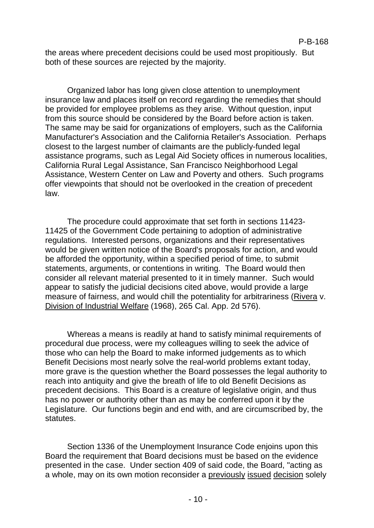the areas where precedent decisions could be used most propitiously. But both of these sources are rejected by the majority.

Organized labor has long given close attention to unemployment insurance law and places itself on record regarding the remedies that should be provided for employee problems as they arise. Without question, input from this source should be considered by the Board before action is taken. The same may be said for organizations of employers, such as the California Manufacturer's Association and the California Retailer's Association. Perhaps closest to the largest number of claimants are the publicly-funded legal assistance programs, such as Legal Aid Society offices in numerous localities, California Rural Legal Assistance, San Francisco Neighborhood Legal Assistance, Western Center on Law and Poverty and others. Such programs offer viewpoints that should not be overlooked in the creation of precedent law.

The procedure could approximate that set forth in sections 11423- 11425 of the Government Code pertaining to adoption of administrative regulations. Interested persons, organizations and their representatives would be given written notice of the Board's proposals for action, and would be afforded the opportunity, within a specified period of time, to submit statements, arguments, or contentions in writing. The Board would then consider all relevant material presented to it in timely manner. Such would appear to satisfy the judicial decisions cited above, would provide a large measure of fairness, and would chill the potentiality for arbitrariness (Rivera v. Division of Industrial Welfare (1968), 265 Cal. App. 2d 576).

Whereas a means is readily at hand to satisfy minimal requirements of procedural due process, were my colleagues willing to seek the advice of those who can help the Board to make informed judgements as to which Benefit Decisions most nearly solve the real-world problems extant today, more grave is the question whether the Board possesses the legal authority to reach into antiquity and give the breath of life to old Benefit Decisions as precedent decisions. This Board is a creature of legislative origin, and thus has no power or authority other than as may be conferred upon it by the Legislature. Our functions begin and end with, and are circumscribed by, the statutes.

Section 1336 of the Unemployment Insurance Code enjoins upon this Board the requirement that Board decisions must be based on the evidence presented in the case. Under section 409 of said code, the Board, "acting as a whole, may on its own motion reconsider a previously issued decision solely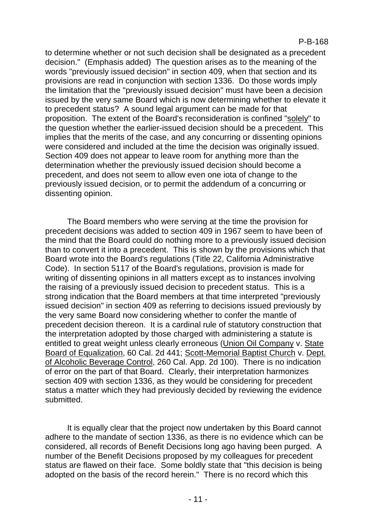to determine whether or not such decision shall be designated as a precedent decision." (Emphasis added) The question arises as to the meaning of the words "previously issued decision" in section 409, when that section and its provisions are read in conjunction with section 1336. Do those words imply the limitation that the "previously issued decision" must have been a decision issued by the very same Board which is now determining whether to elevate it to precedent status? A sound legal argument can be made for that proposition. The extent of the Board's reconsideration is confined "solely" to the question whether the earlier-issued decision should be a precedent. This implies that the merits of the case, and any concurring or dissenting opinions were considered and included at the time the decision was originally issued. Section 409 does not appear to leave room for anything more than the determination whether the previously issued decision should become a precedent, and does not seem to allow even one iota of change to the previously issued decision, or to permit the addendum of a concurring or dissenting opinion.

The Board members who were serving at the time the provision for precedent decisions was added to section 409 in 1967 seem to have been of the mind that the Board could do nothing more to a previously issued decision than to convert it into a precedent. This is shown by the provisions which that Board wrote into the Board's regulations (Title 22, California Administrative Code). In section 5117 of the Board's regulations, provision is made for writing of dissenting opinions in all matters except as to instances involving the raising of a previously issued decision to precedent status. This is a strong indication that the Board members at that time interpreted "previously issued decision" in section 409 as referring to decisions issued previously by the very same Board now considering whether to confer the mantle of precedent decision thereon. It is a cardinal rule of statutory construction that the interpretation adopted by those charged with administering a statute is entitled to great weight unless clearly erroneous (Union Oil Company v. State Board of Equalization, 60 Cal. 2d 441; Scott-Memorial Baptist Church v. Dept. of Alcoholic Beverage Control, 260 Cal. App. 2d 100). There is no indication of error on the part of that Board. Clearly, their interpretation harmonizes section 409 with section 1336, as they would be considering for precedent status a matter which they had previously decided by reviewing the evidence submitted.

It is equally clear that the project now undertaken by this Board cannot adhere to the mandate of section 1336, as there is no evidence which can be considered, all records of Benefit Decisions long ago having been purged. A number of the Benefit Decisions proposed by my colleagues for precedent status are flawed on their face. Some boldly state that "this decision is being adopted on the basis of the record herein." There is no record which this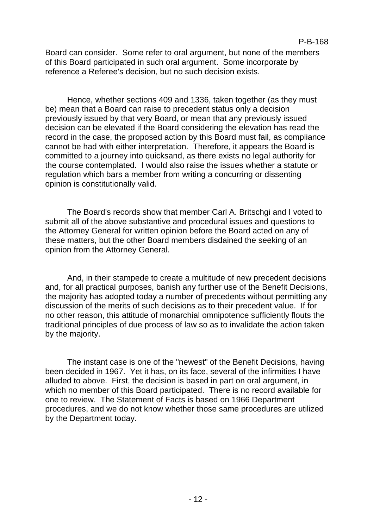Board can consider. Some refer to oral argument, but none of the members of this Board participated in such oral argument. Some incorporate by reference a Referee's decision, but no such decision exists.

Hence, whether sections 409 and 1336, taken together (as they must be) mean that a Board can raise to precedent status only a decision previously issued by that very Board, or mean that any previously issued decision can be elevated if the Board considering the elevation has read the record in the case, the proposed action by this Board must fail, as compliance cannot be had with either interpretation. Therefore, it appears the Board is committed to a journey into quicksand, as there exists no legal authority for the course contemplated. I would also raise the issues whether a statute or regulation which bars a member from writing a concurring or dissenting opinion is constitutionally valid.

The Board's records show that member Carl A. Britschgi and I voted to submit all of the above substantive and procedural issues and questions to the Attorney General for written opinion before the Board acted on any of these matters, but the other Board members disdained the seeking of an opinion from the Attorney General.

And, in their stampede to create a multitude of new precedent decisions and, for all practical purposes, banish any further use of the Benefit Decisions, the majority has adopted today a number of precedents without permitting any discussion of the merits of such decisions as to their precedent value. If for no other reason, this attitude of monarchial omnipotence sufficiently flouts the traditional principles of due process of law so as to invalidate the action taken by the majority.

The instant case is one of the "newest" of the Benefit Decisions, having been decided in 1967. Yet it has, on its face, several of the infirmities I have alluded to above. First, the decision is based in part on oral argument, in which no member of this Board participated. There is no record available for one to review. The Statement of Facts is based on 1966 Department procedures, and we do not know whether those same procedures are utilized by the Department today.